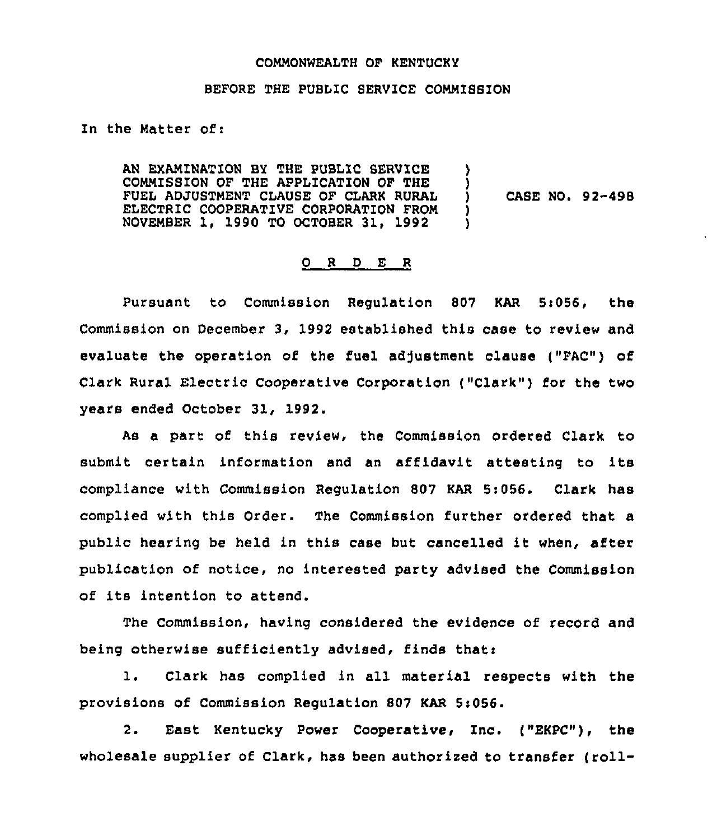#### COMMONWEALTH OF KENTUCKY

### BEFORE THE PUBLIC SERVICE COMMISSION

In the Matter of:

AN EXAMINATION BY THE PUBLIC SERVICE COMMISSION OF THE APPLICATION OF THE FUEL ADJUSTMENT CLAUSE OF CLARK RURAL ELECTRIC COOPERATIVE CORPORATION FROM NOVEMBER 1, 1990 TO OCTOBER 31, 1992 ) ) )  $\lambda$ 

CASE NO. 92-498

## 0 <sup>R</sup> <sup>D</sup> E <sup>R</sup>

Pursuant to Commission Requlation 807 KAR 5:056, the Commission on December 3, 1992 established this case to review and evaluate the operation of the fuel adjustment clause ("FAC") of Clark Rural Electric Cooperative Corporation ("Clark") for the two years ended October 31, 1992.

As a part of this review, the Commission ordered Clark to submit certain information and an affidavit attesting to its compliance with Commission Regulation 807 KAR 5:056. Clark has complied with this Order. The Commission further ordered that a public hearing be held in this case but cancelled it when, after publication of notice, no interested party advised the Commission of its intention to attend.

The Commission, having considered the evidence of record and being otherwise sufficiently advised, finds that:

1. Clark has complied in all material respects with the provisions of Commission Regulation 807 KAR 5:056.

2. East Kentucky Power Cooperative, Inc. ("EKPC"), the wholesale supplier of Clark, has been authorized to transfer (roll-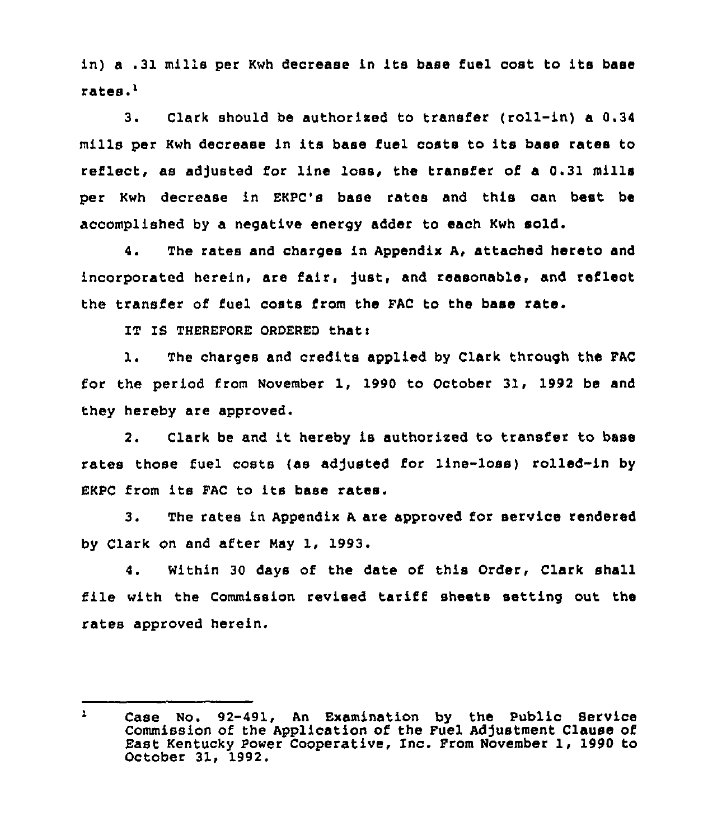in) <sup>a</sup> .31 mills per Kwh decrease in its base fuel cost to its base rates.'.

 $3.$ Clark should be authorised to transfer (roll-in) a 0.34 mills per Kwh decrease in its base fuel costs to its base rates to reflect, as adjusted for line loss, the transfer of a 0.31 mills per Kwh decrease in EKPC's base rates and this can heat be accomplished by a negative energy adder to each Kwh sold.

4. The rates and charges in Appendix A, attached hereto and incorporated herein, are fair, just, and reasonable, and reflect the transfer of fuel costs from the FAC to the base rate.

IT IS THEREFORE OROERED thati

1. The charges and credits applied by Clark through the FAC for the period fram November 1, 1990 to October 31, 1992 be and they hereby are approved.

2. Clark be and it hereby is authorised to transfer to base rates those fuel costs {as adjusted for line-loss) rolled-in by EKPC from its FAC to its base rates.

3. The rates in Appendix <sup>A</sup> are approved for service rendered by Clark on and after Nay 1, 1993.

4. Within 30 days of the date of this Order, Clark shall file with the Commission revised tariff sheets setting out the rates approved herein.

 $\mathbf{1}$ Case No. 92-491, An Examination by the Public Service Commission of the Application of the Fuel Adjustment Clause of East Kentucky Power Cooperative, Inc. From November 1, 1990 to October 31, 1992.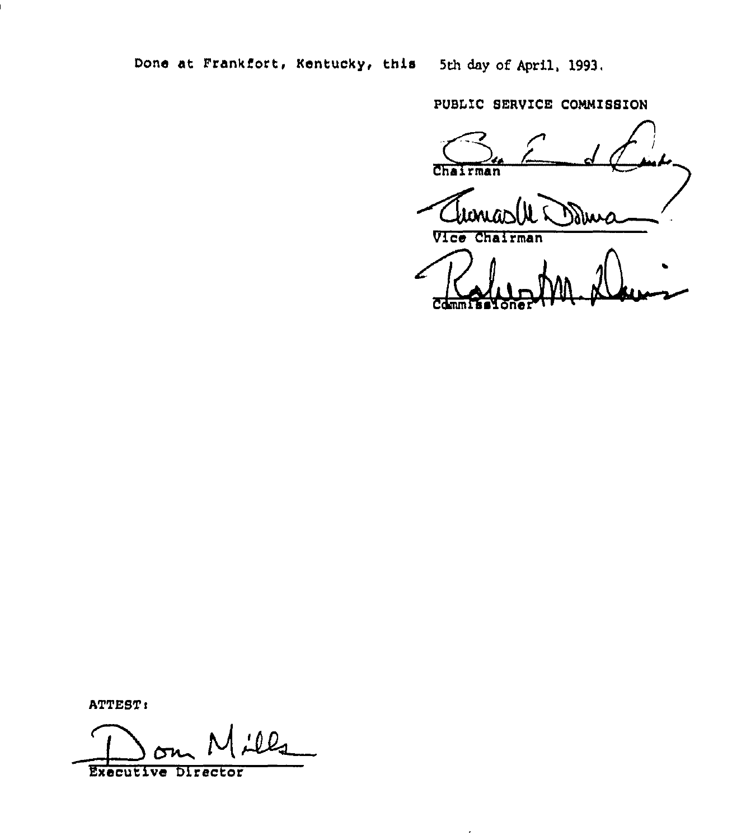Done at Frankfort, Kentucky, this 5th day of April, 1993.

J.

PUBLIC SERVICE COMMISSION

Chairman 20 Vice Chairman Reduction N

ATTEST:

<u>illa</u> Execut1ve Director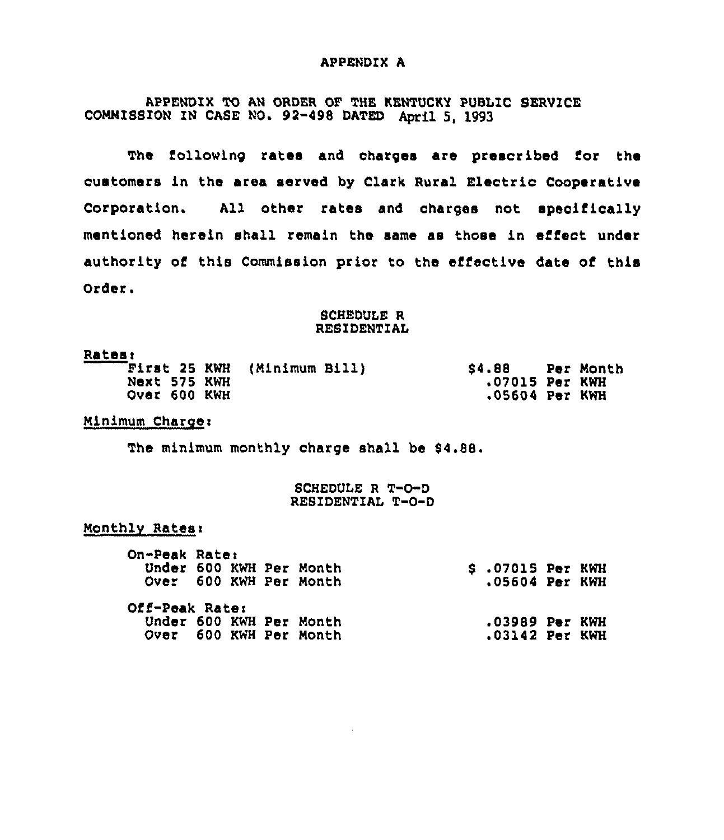# APPENDIX A

APPENDIX TO AN ORDER OF THE KENTUCKY PUBLIC SERVICE COMMISSION ZN CASE NO. 92-498 DATED April 5, 1993

The following rates and charges are prescribed for the customers in the area served by Clark Rural Electric Cooperative Corporation. All other rates and charges not specifically mentioned herein shall remain the same as those in effect under authority of this Commission prior to the effective date of this Order.

#### SCHEDULE R RESIDENTIAL

| <b>Rates:</b> |                             |                  |           |
|---------------|-----------------------------|------------------|-----------|
|               | First 25 KWH (Minimum Bill) | S4.88            | Per Month |
| Next 575 KWH  |                             | $.07015$ Per KWH |           |
| Over 600 KWH  |                             | .05604 Per KWH   |           |

## Minimum Charge:

The minimum monthly charge shall be \$4.88.

### SCHEDULE <sup>R</sup> T-0-D RESIDENTIAL T-0-D

## Monthly Rates:

| On-Peak Rate:  |  | Under 600 KWH Per Month<br>Over 600 KWH Per Month | $$.07015$ Per KWH<br>$.05604$ Per KWH |  |
|----------------|--|---------------------------------------------------|---------------------------------------|--|
| Off-Peak Rate: |  |                                                   |                                       |  |
|                |  | Under 600 KWH Per Month                           | $.03989$ Per KWH                      |  |
|                |  | Over 600 KWH Per Month                            | .03142 Per KWH                        |  |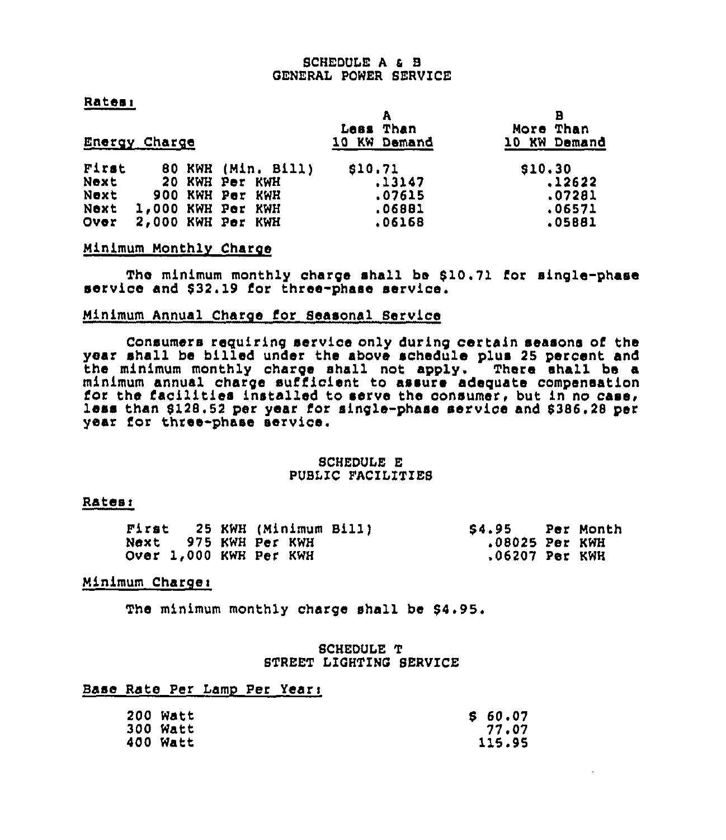# SCHEDULE <sup>A</sup> 4 8 GENERAL POWER SERVICE

## Ratesi

|       | Energy Charge |                    | Less Than<br>10 KW Demand | в<br>More Than<br>10 KW Demand |
|-------|---------------|--------------------|---------------------------|--------------------------------|
| First |               | 80 KWH (Min. Bill) | \$10.71                   | \$10.30                        |
| Next  |               | 20 KWH Per KWH     | .13147                    | .12622                         |
| Next  |               | 900 KWH Per KWH    | .07615                    | .07281                         |
| Next  |               | 1,000 KWH Per KWH  | .06881                    | .06571                         |
| Over  |               | 2,000 KWH Per KWH  | .06168                    | .05881                         |

# Ninimum Monthlv Charge

The minimum monthly charge shall be \$10.71 for single-phase service and \$32.19 for three-phase service.

# Minimum Annual Charge for Seasonal Service

Consumers requiring service only during certain seasons of the year shall be billed under the above schedule plus 25 percent and the minimum monthly charge shall not apply. There shall be a<br>minimum annual charge sufficient to assure adequate compensation for the facilities installed to serve the consumer, but in no case, less than \$128.52 per year for single-phase service and \$386.28 per year for three-phase service.

#### SCHEDULE E PUSIIC FACILITIE8

#### Rates:

|  | First 25 KWH (Minimum Bill) | S4.95 Per Month |  |
|--|-----------------------------|-----------------|--|
|  | Next 975 KWH Per KWH        | .08025 Per KWH  |  |
|  | Over 1,000 KWH Per KWH      | .06207 Per KWH  |  |

#### Minimum Chargei

The minimum monthly charge shall be \$4.95.

## SCHEDULE T STREET LIGHTING 8ERVICE

# Base Rate Per Lamp Per Year:

| 200 Watt | \$60.07 |
|----------|---------|
| 300 Watt | 77.07   |
| 400 Watt | 115.95  |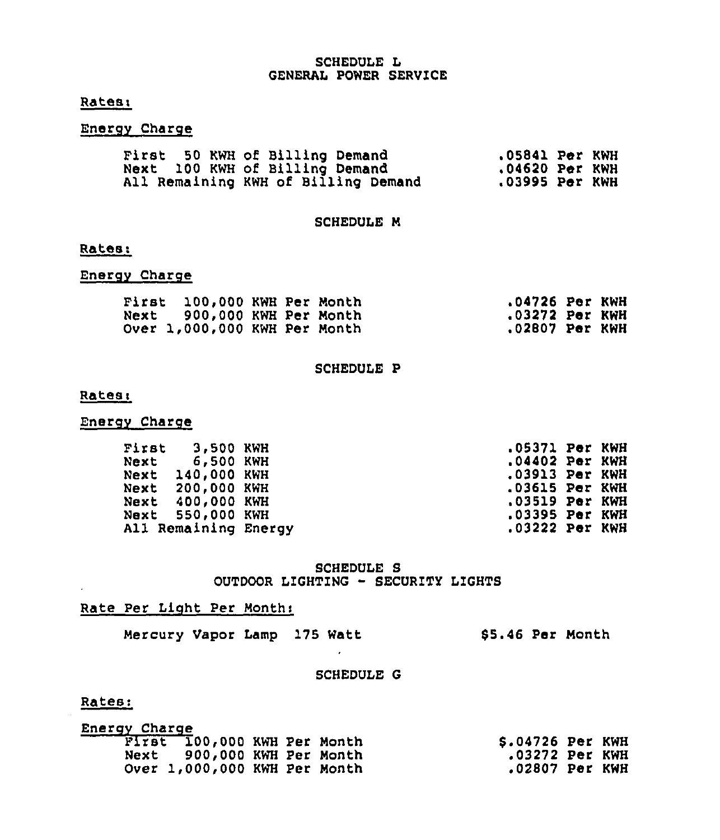# SCHEDULE L GENERAL POWER SERVICE

# Ratesi

# Energv Charge

| First 50 KWH of Billing Demand |  |  |  |                                     | .05841 Per KWH   |  |
|--------------------------------|--|--|--|-------------------------------------|------------------|--|
| Next 100 KWH of Billing Demand |  |  |  |                                     | $.04620$ Per KWH |  |
|                                |  |  |  | All Remaining KWH of Billing Demand | $.03995$ Per KWH |  |

## SCHEDULE M

#### Rates:

# Energv Charge

| First 100,000 KWH Per Month  |  | .04726 Per KWH |  |
|------------------------------|--|----------------|--|
| Next 900,000 KWH Per Month   |  | .03272 Per KWH |  |
| Over 1,000,000 KWH Per Month |  | .02807 Per KWH |  |

#### SCHEDULE P

## Ratesi

# Energv Charge

| First 3,500 KWH      | .05371 Per KWH   |  |
|----------------------|------------------|--|
| Next 6,500 KWH       | .04402 Per KWH   |  |
| Next 140,000 KWH     | .03913 Per KWH   |  |
| Next 200,000 KWH     | .03615 Per KWH   |  |
| Next 400,000 KWH     | $.03519$ Per KWH |  |
| Next 550,000 KWH     | .03395 Per KWH   |  |
| All Remaining Energy | .03222 Per KWH   |  |

# SCHEDULE S OUTDOOR LIGHTING - SECURITY LIGHTS

# Rate Per Light Per Months

Mercury Vapor Lamp 175 Watt 65.46 Per Month

#### SCHEDULE G

 $\sim$ 

# Rates:

| Energy Charge |                              |  |                  |  |
|---------------|------------------------------|--|------------------|--|
|               | First 100,000 KWH Per Month  |  | \$.04726 Per KWH |  |
|               | Next 900,000 KWH Per Month   |  | .03272 Per KWH   |  |
|               | Over 1,000,000 KWH Per Month |  | .02807 Per KWH   |  |